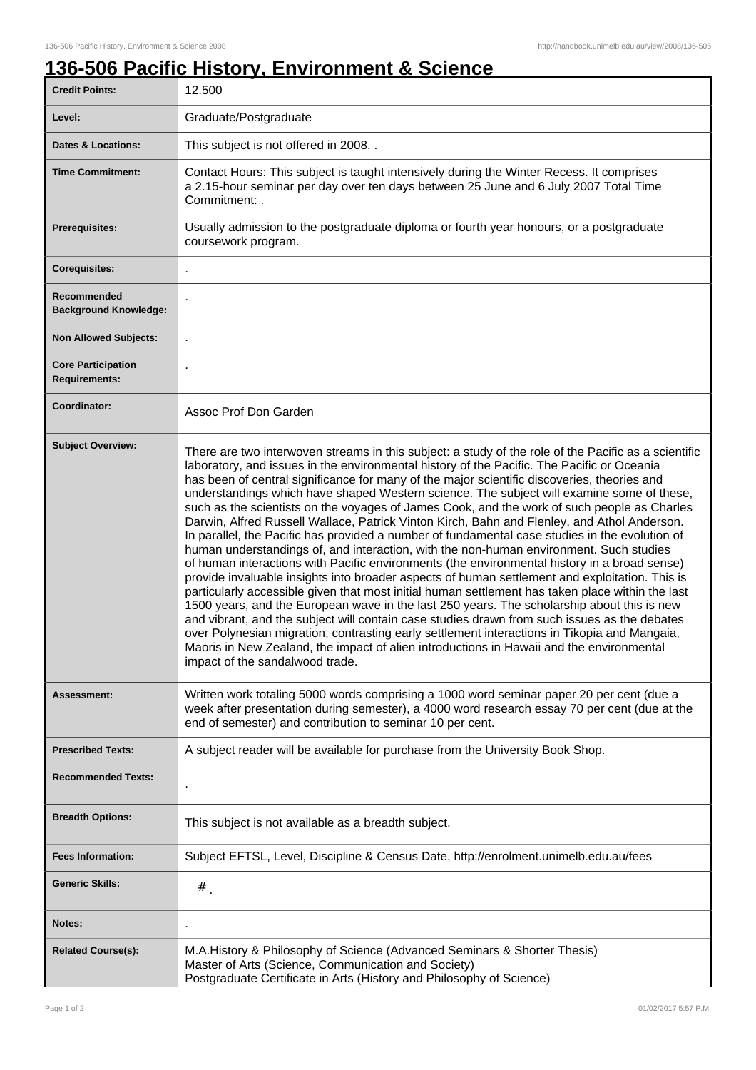## **136-506 Pacific History, Environment & Science**

| <b>Credit Points:</b>                             | 12.500                                                                                                                                                                                                                                                                                                                                                                                                                                                                                                                                                                                                                                                                                                                                                                                                                                                                                                                                                                                                                                                                                                                                                                                                                                                                                                                                                                                                                                                                                                                      |
|---------------------------------------------------|-----------------------------------------------------------------------------------------------------------------------------------------------------------------------------------------------------------------------------------------------------------------------------------------------------------------------------------------------------------------------------------------------------------------------------------------------------------------------------------------------------------------------------------------------------------------------------------------------------------------------------------------------------------------------------------------------------------------------------------------------------------------------------------------------------------------------------------------------------------------------------------------------------------------------------------------------------------------------------------------------------------------------------------------------------------------------------------------------------------------------------------------------------------------------------------------------------------------------------------------------------------------------------------------------------------------------------------------------------------------------------------------------------------------------------------------------------------------------------------------------------------------------------|
| Level:                                            | Graduate/Postgraduate                                                                                                                                                                                                                                                                                                                                                                                                                                                                                                                                                                                                                                                                                                                                                                                                                                                                                                                                                                                                                                                                                                                                                                                                                                                                                                                                                                                                                                                                                                       |
| <b>Dates &amp; Locations:</b>                     | This subject is not offered in 2008                                                                                                                                                                                                                                                                                                                                                                                                                                                                                                                                                                                                                                                                                                                                                                                                                                                                                                                                                                                                                                                                                                                                                                                                                                                                                                                                                                                                                                                                                         |
| <b>Time Commitment:</b>                           | Contact Hours: This subject is taught intensively during the Winter Recess. It comprises<br>a 2.15-hour seminar per day over ten days between 25 June and 6 July 2007 Total Time<br>Commitment: .                                                                                                                                                                                                                                                                                                                                                                                                                                                                                                                                                                                                                                                                                                                                                                                                                                                                                                                                                                                                                                                                                                                                                                                                                                                                                                                           |
| <b>Prerequisites:</b>                             | Usually admission to the postgraduate diploma or fourth year honours, or a postgraduate<br>coursework program.                                                                                                                                                                                                                                                                                                                                                                                                                                                                                                                                                                                                                                                                                                                                                                                                                                                                                                                                                                                                                                                                                                                                                                                                                                                                                                                                                                                                              |
| <b>Corequisites:</b>                              |                                                                                                                                                                                                                                                                                                                                                                                                                                                                                                                                                                                                                                                                                                                                                                                                                                                                                                                                                                                                                                                                                                                                                                                                                                                                                                                                                                                                                                                                                                                             |
| Recommended<br><b>Background Knowledge:</b>       |                                                                                                                                                                                                                                                                                                                                                                                                                                                                                                                                                                                                                                                                                                                                                                                                                                                                                                                                                                                                                                                                                                                                                                                                                                                                                                                                                                                                                                                                                                                             |
| <b>Non Allowed Subjects:</b>                      |                                                                                                                                                                                                                                                                                                                                                                                                                                                                                                                                                                                                                                                                                                                                                                                                                                                                                                                                                                                                                                                                                                                                                                                                                                                                                                                                                                                                                                                                                                                             |
| <b>Core Participation</b><br><b>Requirements:</b> |                                                                                                                                                                                                                                                                                                                                                                                                                                                                                                                                                                                                                                                                                                                                                                                                                                                                                                                                                                                                                                                                                                                                                                                                                                                                                                                                                                                                                                                                                                                             |
| Coordinator:                                      | Assoc Prof Don Garden                                                                                                                                                                                                                                                                                                                                                                                                                                                                                                                                                                                                                                                                                                                                                                                                                                                                                                                                                                                                                                                                                                                                                                                                                                                                                                                                                                                                                                                                                                       |
| <b>Subject Overview:</b>                          | There are two interwoven streams in this subject: a study of the role of the Pacific as a scientific<br>laboratory, and issues in the environmental history of the Pacific. The Pacific or Oceania<br>has been of central significance for many of the major scientific discoveries, theories and<br>understandings which have shaped Western science. The subject will examine some of these,<br>such as the scientists on the voyages of James Cook, and the work of such people as Charles<br>Darwin, Alfred Russell Wallace, Patrick Vinton Kirch, Bahn and Flenley, and Athol Anderson.<br>In parallel, the Pacific has provided a number of fundamental case studies in the evolution of<br>human understandings of, and interaction, with the non-human environment. Such studies<br>of human interactions with Pacific environments (the environmental history in a broad sense)<br>provide invaluable insights into broader aspects of human settlement and exploitation. This is<br>particularly accessible given that most initial human settlement has taken place within the last<br>1500 years, and the European wave in the last 250 years. The scholarship about this is new<br>and vibrant, and the subject will contain case studies drawn from such issues as the debates<br>over Polynesian migration, contrasting early settlement interactions in Tikopia and Mangaia,<br>Maoris in New Zealand, the impact of alien introductions in Hawaii and the environmental<br>impact of the sandalwood trade. |
| Assessment:                                       | Written work totaling 5000 words comprising a 1000 word seminar paper 20 per cent (due a<br>week after presentation during semester), a 4000 word research essay 70 per cent (due at the<br>end of semester) and contribution to seminar 10 per cent.                                                                                                                                                                                                                                                                                                                                                                                                                                                                                                                                                                                                                                                                                                                                                                                                                                                                                                                                                                                                                                                                                                                                                                                                                                                                       |
| <b>Prescribed Texts:</b>                          | A subject reader will be available for purchase from the University Book Shop.                                                                                                                                                                                                                                                                                                                                                                                                                                                                                                                                                                                                                                                                                                                                                                                                                                                                                                                                                                                                                                                                                                                                                                                                                                                                                                                                                                                                                                              |
| <b>Recommended Texts:</b>                         |                                                                                                                                                                                                                                                                                                                                                                                                                                                                                                                                                                                                                                                                                                                                                                                                                                                                                                                                                                                                                                                                                                                                                                                                                                                                                                                                                                                                                                                                                                                             |
| <b>Breadth Options:</b>                           | This subject is not available as a breadth subject.                                                                                                                                                                                                                                                                                                                                                                                                                                                                                                                                                                                                                                                                                                                                                                                                                                                                                                                                                                                                                                                                                                                                                                                                                                                                                                                                                                                                                                                                         |
| <b>Fees Information:</b>                          | Subject EFTSL, Level, Discipline & Census Date, http://enrolment.unimelb.edu.au/fees                                                                                                                                                                                                                                                                                                                                                                                                                                                                                                                                                                                                                                                                                                                                                                                                                                                                                                                                                                                                                                                                                                                                                                                                                                                                                                                                                                                                                                        |
| <b>Generic Skills:</b>                            | $#$ .                                                                                                                                                                                                                                                                                                                                                                                                                                                                                                                                                                                                                                                                                                                                                                                                                                                                                                                                                                                                                                                                                                                                                                                                                                                                                                                                                                                                                                                                                                                       |
| <b>Notes:</b>                                     |                                                                                                                                                                                                                                                                                                                                                                                                                                                                                                                                                                                                                                                                                                                                                                                                                                                                                                                                                                                                                                                                                                                                                                                                                                                                                                                                                                                                                                                                                                                             |
| <b>Related Course(s):</b>                         | M.A.History & Philosophy of Science (Advanced Seminars & Shorter Thesis)<br>Master of Arts (Science, Communication and Society)<br>Postgraduate Certificate in Arts (History and Philosophy of Science)                                                                                                                                                                                                                                                                                                                                                                                                                                                                                                                                                                                                                                                                                                                                                                                                                                                                                                                                                                                                                                                                                                                                                                                                                                                                                                                     |